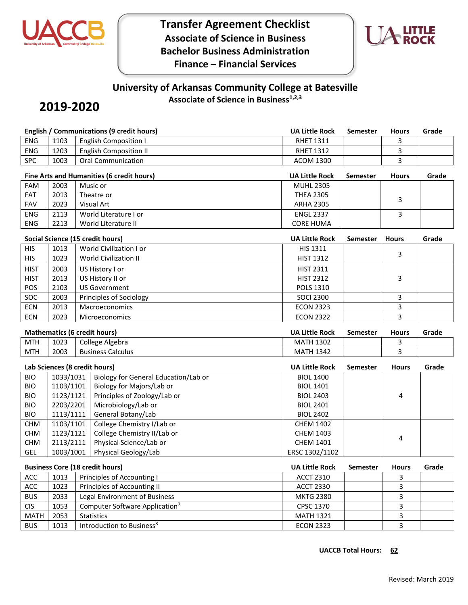

**Transfer Agreement Checklist Associate of Science in Business Bachelor Business Administration Finance – Financial Services**



## **University of Arkansas Community College at Batesville**

**Associate of Science in Business1,2,3**

## **2019-2020**

|                                     | <b>English / Communications (9 credit hours)</b> |                     |                                            |                       | <b>Semester</b> | <b>Hours</b> | Grade |
|-------------------------------------|--------------------------------------------------|---------------------|--------------------------------------------|-----------------------|-----------------|--------------|-------|
| <b>ENG</b>                          | 1103                                             |                     | <b>English Composition I</b>               | <b>RHET 1311</b>      |                 | 3            |       |
| <b>ENG</b>                          | 1203                                             |                     | <b>English Composition II</b>              | <b>RHET 1312</b>      |                 | 3            |       |
| SPC                                 | 1003                                             |                     | <b>Oral Communication</b>                  | <b>ACOM 1300</b>      |                 | 3            |       |
|                                     |                                                  |                     | Fine Arts and Humanities (6 credit hours)  | <b>UA Little Rock</b> | <b>Semester</b> | <b>Hours</b> | Grade |
| <b>FAM</b>                          | 2003                                             |                     | Music or                                   | <b>MUHL 2305</b>      |                 |              |       |
| FAT                                 | 2013                                             |                     | Theatre or                                 | <b>THEA 2305</b>      |                 | 3            |       |
| <b>FAV</b>                          | 2023                                             |                     | <b>Visual Art</b>                          | <b>ARHA 2305</b>      |                 |              |       |
| ENG                                 | 2113                                             |                     | World Literature I or                      | <b>ENGL 2337</b>      |                 | 3            |       |
| <b>ENG</b>                          | 2213                                             | World Literature II |                                            | <b>CORE HUMA</b>      |                 |              |       |
|                                     |                                                  |                     | Social Science (15 credit hours)           | <b>UA Little Rock</b> | Semester        | <b>Hours</b> | Grade |
| <b>HIS</b>                          | 1013                                             |                     | World Civilization I or                    | HIS 1311              |                 | 3            |       |
| <b>HIS</b>                          | 1023                                             |                     | <b>World Civilization II</b>               | <b>HIST 1312</b>      |                 |              |       |
| <b>HIST</b>                         | 2003                                             |                     | US History I or                            | <b>HIST 2311</b>      |                 |              |       |
| <b>HIST</b>                         | 2013                                             |                     | US History II or                           | <b>HIST 2312</b>      |                 | 3            |       |
| POS                                 | 2103                                             |                     | <b>US Government</b>                       | POLS 1310             |                 |              |       |
| SOC                                 | 2003                                             |                     | Principles of Sociology                    | <b>SOCI 2300</b>      |                 | 3            |       |
| <b>ECN</b>                          | 2013                                             |                     | Macroeconomics                             | <b>ECON 2323</b>      |                 | 3            |       |
| ECN                                 | 2023                                             |                     | <b>Microeconomics</b>                      | <b>ECON 2322</b>      |                 | 3            |       |
| <b>Mathematics (6 credit hours)</b> |                                                  |                     | UA Little Rock                             | <b>Semester</b>       | <b>Hours</b>    | Grade        |       |
| <b>MTH</b>                          | 1023                                             |                     | College Algebra                            | <b>MATH 1302</b>      |                 | 3            |       |
| <b>MTH</b>                          | 2003                                             |                     | <b>Business Calculus</b>                   | <b>MATH 1342</b>      |                 | 3            |       |
| Lab Sciences (8 credit hours)       |                                                  |                     |                                            | <b>UA Little Rock</b> | <b>Semester</b> | <b>Hours</b> | Grade |
| <b>BIO</b>                          | 1033/1031                                        |                     | Biology for General Education/Lab or       | <b>BIOL 1400</b>      |                 |              |       |
| <b>BIO</b>                          | 1103/1101                                        |                     | Biology for Majors/Lab or                  | <b>BIOL 1401</b>      |                 |              |       |
| <b>BIO</b>                          | 1123/1121                                        |                     | Principles of Zoology/Lab or               | <b>BIOL 2403</b>      |                 | 4            |       |
| <b>BIO</b>                          | 2203/2201                                        |                     | Microbiology/Lab or                        | <b>BIOL 2401</b>      |                 |              |       |
| <b>BIO</b>                          | 1113/1111                                        |                     | General Botany/Lab                         | <b>BIOL 2402</b>      |                 |              |       |
| <b>CHM</b>                          |                                                  |                     |                                            |                       |                 |              |       |
|                                     | 1103/1101                                        |                     | College Chemistry I/Lab or                 | <b>CHEM 1402</b>      |                 |              |       |
| <b>CHM</b>                          | 1123/1121                                        |                     | College Chemistry II/Lab or                | <b>CHEM 1403</b>      |                 |              |       |
| <b>CHM</b>                          | 2113/2111                                        |                     | Physical Science/Lab or                    | CHEM 1401             |                 | 4            |       |
| GEL                                 | 1003/1001                                        |                     | Physical Geology/Lab                       | ERSC 1302/1102        |                 |              |       |
|                                     |                                                  |                     | <b>Business Core (18 credit hours)</b>     | <b>UA Little Rock</b> | <b>Semester</b> | <b>Hours</b> | Grade |
| ACC                                 | 1013                                             |                     | Principles of Accounting I                 | <b>ACCT 2310</b>      |                 | 3            |       |
| ACC                                 | 1023                                             |                     | Principles of Accounting II                | <b>ACCT 2330</b>      |                 | 3            |       |
| <b>BUS</b>                          | 2033                                             |                     | Legal Environment of Business              | <b>MKTG 2380</b>      |                 | 3            |       |
| <b>CIS</b>                          | 1053                                             |                     | Computer Software Application <sup>7</sup> | CPSC 1370             |                 | 3<br>3       |       |

BUS 1013 Introduction to Business<sup>8</sup> exercise the ECON 2323 3 3 3 3

**UACCB Total Hours: 62**